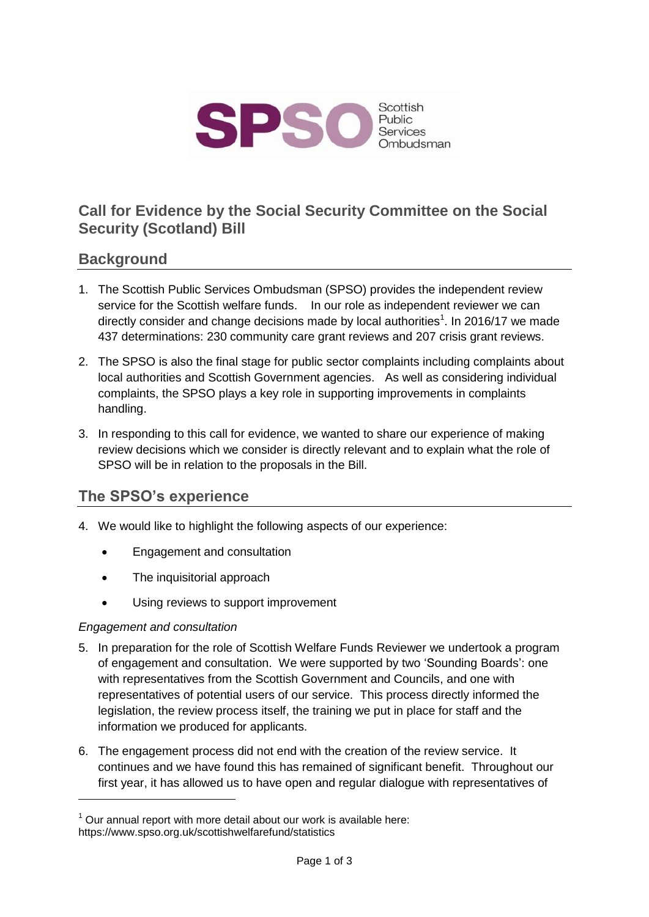

# **Call for Evidence by the Social Security Committee on the Social Security (Scotland) Bill**

### **Background**

- 1. The Scottish Public Services Ombudsman (SPSO) provides the independent review service for the Scottish welfare funds. In our role as independent reviewer we can directly consider and change decisions made by local authorities<sup>1</sup>. In 2016/17 we made 437 determinations: 230 community care grant reviews and 207 crisis grant reviews.
- 2. The SPSO is also the final stage for public sector complaints including complaints about local authorities and Scottish Government agencies. As well as considering individual complaints, the SPSO plays a key role in supporting improvements in complaints handling.
- 3. In responding to this call for evidence, we wanted to share our experience of making review decisions which we consider is directly relevant and to explain what the role of SPSO will be in relation to the proposals in the Bill.

# **The SPSO's experience**

- 4. We would like to highlight the following aspects of our experience:
	- Engagement and consultation
	- The inquisitorial approach
	- Using reviews to support improvement

#### *Engagement and consultation*

-

- 5. In preparation for the role of Scottish Welfare Funds Reviewer we undertook a program of engagement and consultation. We were supported by two 'Sounding Boards': one with representatives from the Scottish Government and Councils, and one with representatives of potential users of our service. This process directly informed the legislation, the review process itself, the training we put in place for staff and the information we produced for applicants.
- 6. The engagement process did not end with the creation of the review service. It continues and we have found this has remained of significant benefit. Throughout our first year, it has allowed us to have open and regular dialogue with representatives of

 $1$  Our annual report with more detail about our work is available here: https://www.spso.org.uk/scottishwelfarefund/statistics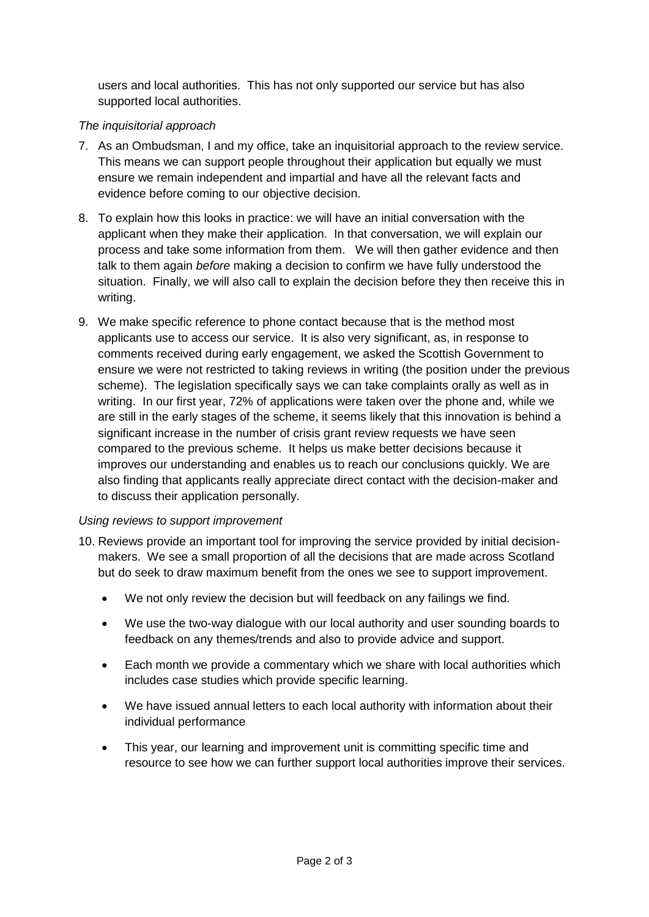users and local authorities. This has not only supported our service but has also supported local authorities.

#### *The inquisitorial approach*

- 7. As an Ombudsman, I and my office, take an inquisitorial approach to the review service. This means we can support people throughout their application but equally we must ensure we remain independent and impartial and have all the relevant facts and evidence before coming to our objective decision.
- 8. To explain how this looks in practice: we will have an initial conversation with the applicant when they make their application. In that conversation, we will explain our process and take some information from them. We will then gather evidence and then talk to them again *before* making a decision to confirm we have fully understood the situation. Finally, we will also call to explain the decision before they then receive this in writing.
- 9. We make specific reference to phone contact because that is the method most applicants use to access our service. It is also very significant, as, in response to comments received during early engagement, we asked the Scottish Government to ensure we were not restricted to taking reviews in writing (the position under the previous scheme). The legislation specifically says we can take complaints orally as well as in writing. In our first year, 72% of applications were taken over the phone and, while we are still in the early stages of the scheme, it seems likely that this innovation is behind a significant increase in the number of crisis grant review requests we have seen compared to the previous scheme. It helps us make better decisions because it improves our understanding and enables us to reach our conclusions quickly. We are also finding that applicants really appreciate direct contact with the decision-maker and to discuss their application personally.

#### *Using reviews to support improvement*

- 10. Reviews provide an important tool for improving the service provided by initial decisionmakers. We see a small proportion of all the decisions that are made across Scotland but do seek to draw maximum benefit from the ones we see to support improvement.
	- We not only review the decision but will feedback on any failings we find.
	- We use the two-way dialogue with our local authority and user sounding boards to feedback on any themes/trends and also to provide advice and support.
	- Each month we provide a commentary which we share with local authorities which includes case studies which provide specific learning.
	- We have issued annual letters to each local authority with information about their individual performance
	- This year, our learning and improvement unit is committing specific time and resource to see how we can further support local authorities improve their services.